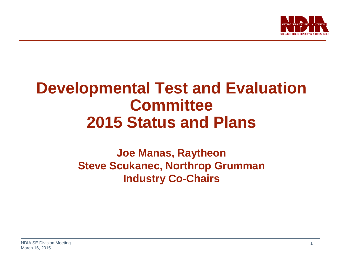

## **Developmental Test and Evaluation Committee 2015 Status and Plans**

## **Joe Manas, Raytheon Steve Scukanec, Northrop Grumman Industry Co-Chairs**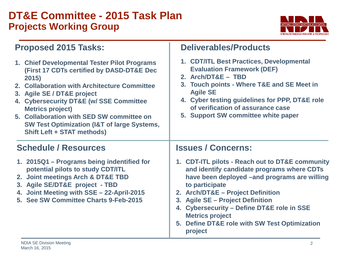## **DT&E Committee - 2015 Task Plan Projects Working Group**



| <b>Proposed 2015 Tasks:</b> |  |  |
|-----------------------------|--|--|
|-----------------------------|--|--|

| 1. Chief Developmental Tester Pilot Programs<br>(First 17 CDTs certified by DASD-DT&E Dec<br>2015)<br>2. Collaboration with Architecture Committee<br>3. Agile SE / DT&E project<br>4. Cybersecurity DT&E (w/ SSE Committee<br><b>Metrics project)</b><br>5. Collaboration with SED SW committee on<br><b>SW Test Optimization (I&amp;T of large Systems,</b><br><b>Shift Left + STAT methods)</b> | 1. CDT/ITL Best Practices, Developmental<br><b>Evaluation Framework (DEF)</b><br>2. Arch/DT&E - TBD<br>3. Touch points - Where T&E and SE Meet in<br><b>Agile SE</b><br>4. Cyber testing guidelines for PPP, DT&E role<br>of verification of assurance case<br>5. Support SW committee white paper                                                                                         |
|----------------------------------------------------------------------------------------------------------------------------------------------------------------------------------------------------------------------------------------------------------------------------------------------------------------------------------------------------------------------------------------------------|--------------------------------------------------------------------------------------------------------------------------------------------------------------------------------------------------------------------------------------------------------------------------------------------------------------------------------------------------------------------------------------------|
| <b>Schedule / Resources</b>                                                                                                                                                                                                                                                                                                                                                                        | <b>Issues / Concerns:</b>                                                                                                                                                                                                                                                                                                                                                                  |
| 1. 2015Q1 – Programs being indentified for<br>potential pilots to study CDT/ITL<br>2. Joint meetings Arch & DT&E TBD<br>3. Agile SE/DT&E project - TBD<br>4. Joint Meeting with SSE - 22-April-2015<br>5. See SW Committee Charts 9-Feb-2015                                                                                                                                                       | 1. CDT-ITL pilots - Reach out to DT&E community<br>and identify candidate programs where CDTs<br>have been deployed –and programs are willing<br>to participate<br>2. Arch/DT&E - Project Definition<br>3. Agile SE - Project Definition<br><b>Cybersecurity - Define DT&amp;E role in SSE</b><br>4.<br><b>Metrics project</b><br>5. Define DT&E role with SW Test Optimization<br>project |

**Deliverables/Products**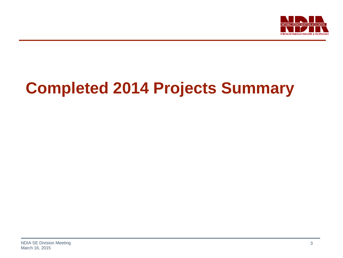

# **Completed 2014 Projects Summary**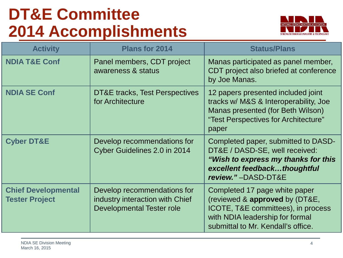# **DT&E Committee 2014 Accomplishments**



| <b>Activity</b>                                     | <b>Plans for 2014</b>                                                                       | <b>Status/Plans</b>                                                                                                                                                            |  |
|-----------------------------------------------------|---------------------------------------------------------------------------------------------|--------------------------------------------------------------------------------------------------------------------------------------------------------------------------------|--|
| <b>NDIA T&amp;E Conf</b>                            | Panel members, CDT project<br>awareness & status                                            | Manas participated as panel member,<br>CDT project also briefed at conference<br>by Joe Manas.                                                                                 |  |
| <b>NDIA SE Conf</b>                                 | <b>DT&amp;E</b> tracks, Test Perspectives<br>for Architecture                               | 12 papers presented included joint<br>tracks w/ M&S & Interoperability, Joe<br>Manas presented (for Beth Wilson)<br>"Test Perspectives for Architecture"<br>paper              |  |
| <b>Cyber DT&amp;E</b>                               | Develop recommendations for<br>Cyber Guidelines 2.0 in 2014                                 | Completed paper, submitted to DASD-<br>DT&E / DASD-SE, well received:<br>"Wish to express my thanks for this<br>excellent feedbackthoughtful<br>review."-DASD-DT&E             |  |
| <b>Chief Developmental</b><br><b>Tester Project</b> | Develop recommendations for<br>industry interaction with Chief<br>Developmental Tester role | Completed 17 page white paper<br>(reviewed & approved by (DT&E,<br>ICOTE, T&E committees), in process<br>with NDIA leadership for formal<br>submittal to Mr. Kendall's office. |  |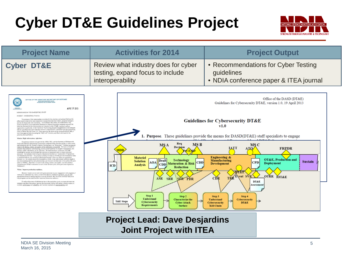# **Cyber DT&E Guidelines Project**



| <b>Project Name</b>                                                                                                                                                                                                                                                                                                                                                                                                                                                                                                                                                                                                                                                                                                                                                                                                                                                                                                                                                                                                                                                                                                                                                                                                                                                                                                                                                                                                                                                                                                                                                                                                                                                                                                                                                                                                                                                                                                                                                                                                                                                                                                                                                                                                                                                                                                                                                                                                                                                                                                                                                                                                                                                                                                                                                                                                                                                                                                                                                                                                                                                                                                                                                                                                                         | <b>Activities for 2014</b>                                                                                                                                                                                                                                                                                                                                                                                                | <b>Project Output</b>                                                                                                                                                                                                                                                                                                                                                                                                                                                                                                                                                                                                                                                             |  |
|---------------------------------------------------------------------------------------------------------------------------------------------------------------------------------------------------------------------------------------------------------------------------------------------------------------------------------------------------------------------------------------------------------------------------------------------------------------------------------------------------------------------------------------------------------------------------------------------------------------------------------------------------------------------------------------------------------------------------------------------------------------------------------------------------------------------------------------------------------------------------------------------------------------------------------------------------------------------------------------------------------------------------------------------------------------------------------------------------------------------------------------------------------------------------------------------------------------------------------------------------------------------------------------------------------------------------------------------------------------------------------------------------------------------------------------------------------------------------------------------------------------------------------------------------------------------------------------------------------------------------------------------------------------------------------------------------------------------------------------------------------------------------------------------------------------------------------------------------------------------------------------------------------------------------------------------------------------------------------------------------------------------------------------------------------------------------------------------------------------------------------------------------------------------------------------------------------------------------------------------------------------------------------------------------------------------------------------------------------------------------------------------------------------------------------------------------------------------------------------------------------------------------------------------------------------------------------------------------------------------------------------------------------------------------------------------------------------------------------------------------------------------------------------------------------------------------------------------------------------------------------------------------------------------------------------------------------------------------------------------------------------------------------------------------------------------------------------------------------------------------------------------------------------------------------------------------------------------------------------------|---------------------------------------------------------------------------------------------------------------------------------------------------------------------------------------------------------------------------------------------------------------------------------------------------------------------------------------------------------------------------------------------------------------------------|-----------------------------------------------------------------------------------------------------------------------------------------------------------------------------------------------------------------------------------------------------------------------------------------------------------------------------------------------------------------------------------------------------------------------------------------------------------------------------------------------------------------------------------------------------------------------------------------------------------------------------------------------------------------------------------|--|
| <b>Cyber DT&amp;E</b>                                                                                                                                                                                                                                                                                                                                                                                                                                                                                                                                                                                                                                                                                                                                                                                                                                                                                                                                                                                                                                                                                                                                                                                                                                                                                                                                                                                                                                                                                                                                                                                                                                                                                                                                                                                                                                                                                                                                                                                                                                                                                                                                                                                                                                                                                                                                                                                                                                                                                                                                                                                                                                                                                                                                                                                                                                                                                                                                                                                                                                                                                                                                                                                                                       | Review what industry does for cyber<br>testing, expand focus to include<br>interoperability                                                                                                                                                                                                                                                                                                                               | • Recommendations for Cyber Testing<br>guidelines<br>• NDIA conference paper & ITEA journal                                                                                                                                                                                                                                                                                                                                                                                                                                                                                                                                                                                       |  |
| OFFICE OF THE ASSISTANT SECRETARY OF DEFENSE<br>3030 DEFENSE PENTAGON<br>WASHINGTON, DC 20301-003<br>APR 19 2013<br>MEMORANDUM FOR DASD(DT&E) STAFF<br>SUBJECT: DASD(DT&E) Priorities<br>The purpose of this memorandum is to identify the priorities and actions I believe this<br>office needs to take to be more responsive to acquisition decision makers, program managers,<br>and the developmental test community. The DASD(DT&E) office has established a very<br>positive reputation as an organization dedicated to helping acquisition programs succeed; the<br>priorities discussed in this memorandum are intended to take DT&E in general, and our<br>ceamization in particular, to the "next level" by focusing program engagement on test strategies<br>that are simultaneously more efficient and more comprehensive, consistent with the overacching<br>theme of Better Buying Power 2.0. Since assuming the duties as the Acting DASD(DT&E), I<br>have been aggressively advocating the "Shift Left" initiative, and that is the basis for the<br>priorities discussed below.<br>Mission: Right information, right time.<br>Our primary mission is to provide the USD(AT&L) and the Secretary of Defense with<br>timely and objective assessments of acquisition programs at key decision points; in other words,<br>and in keeping with Mr. Kendall's famous Deming quote, we "bring data." I believe we have to<br>improve the timing, content, and quality of the information we provide. We have to be able to<br>translate deep technical understanding, across a broad spectrum of program requirements, into<br>decision quality information, at the right time. We must develop a continuum of DT&E<br>knowledge as systems are developed and provide our assessment prior to major milestone.<br>decisions. Our method of delivering this information has been an "Assessment of Operational<br>Test Readiness (AOTR)." The process we follow to create an AOTR provides tremendous value<br>in technical analysis, but its utility is diminished because it does not inform an acquisition<br>decision (i.e., the content should be discussed in a DAB), it has not included sufficient death in<br>key areas (interoperability and cybersecurity), and it occurs one time late in the system life cycle<br>(prior to IOT&E). Therefore, to improve the timing, context, and quality, we will publish a<br>comprehensive DT&E Assessment at each critical decision point, with particular emphasis at<br>Milestone C.<br>Vision: Improve production readiness.<br>Because I expect you to work with great autonomy in your engagement with programs, I<br>want you to understand my vision, so that in the absence of detailed guidance, you can take<br>appropriate actions to assist programs in moving forward. My vision for DASD(DT&E) is to<br>help programs set the conditions for improved production readiness.<br>To reduce discovery of deficiencies late in the acquisition cycle, we must advocate test<br>strategies and plans that ensure rigorous developmental testing with greater mission context to<br>evaluate performance and reliability, and increase emphasis on interoperability and | Req<br>MS B<br><b>MSA</b><br>Decision<br><b>Materiel</b><br>Technology<br>Draft<br><b>Solution</b><br>AOA<br><b>CDD</b><br><b>CDD</b> Maturation & Risk<br><b>Analysis</b><br>ICD<br><b>Reduction</b><br>ASR<br><b>SRR</b><br><b>SER PDR</b><br>Step 1<br>Step 2<br>Understand<br><b>Characterize the</b><br><b>T&amp;E Steps</b><br><b>Cybersecurity</b><br><b>Cyber Attack</b><br><b>Requirements</b><br><b>Surface</b> | Office of the DASD (DT&E)<br>Guidelines for Cybersecurity DT&E, version 1.0, 19 April 2013<br><b>Guidelines for Cybersecurity DT&amp;E</b><br>v1.0<br><b>Purpose.</b> These guidelines provide the means for DASD(DT&E) staff specialists to engage<br>MS C<br><b>IATT</b><br><b>FRPDR</b><br>АIJ<br><b>Engineering &amp;</b><br>OT&E, Production and<br><b>Manufacturing</b><br><b>Sustain</b><br><b>CPD</b><br><b>Deployment</b><br><b>Development</b><br><b>DT&amp;E</b><br>OTRR TOT&E<br>Event SVR<br>TRF<br>CĎR<br>DT&E<br>Assessment<br>Step 4<br>Step 3<br><b>Understand</b><br><b>Cybersecurity</b><br>$\rightarrow$<br><b>Cybersecurity</b><br>DT&E<br><b>Kill Chain</b> |  |

#### **Project Lead: Dave Desjardins Joint Project with ITEA**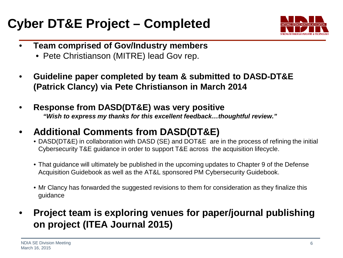## **Cyber DT&E Project – Completed**



- **Team comprised of Gov/Industry members**
	- Pete Christianson (MITRE) lead Gov rep.
- **Guideline paper completed by team & submitted to DASD-DT&E (Patrick Clancy) via Pete Christianson in March 2014**
- **Response from DASD(DT&E) was very positive** *"Wish to express my thanks for this excellent feedback…thoughtful review."*
- **Additional Comments from DASD(DT&E)**
	- DASD(DT&E) in collaboration with DASD (SE) and DOT&E are in the process of refining the initial Cybersecurity T&E guidance in order to support T&E across the acquisition lifecycle.
	- That guidance will ultimately be published in the upcoming updates to Chapter 9 of the Defense Acquisition Guidebook as well as the AT&L sponsored PM Cybersecurity Guidebook.
	- Mr Clancy has forwarded the suggested revisions to them for consideration as they finalize this guidance
- **Project team is exploring venues for paper/journal publishing on project (ITEA Journal 2015)**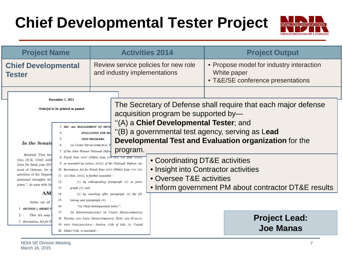# **Chief Developmental Tester Project**



| <b>Project Name</b>                                                                                                                                                                                                                                                                                                                                                                                                                                                                                                      |                                                                                  |                                                                                                                                                                                                                                                       | <b>Activities 2014</b>                                                                       | <b>Project Output</b>                                                                                             |
|--------------------------------------------------------------------------------------------------------------------------------------------------------------------------------------------------------------------------------------------------------------------------------------------------------------------------------------------------------------------------------------------------------------------------------------------------------------------------------------------------------------------------|----------------------------------------------------------------------------------|-------------------------------------------------------------------------------------------------------------------------------------------------------------------------------------------------------------------------------------------------------|----------------------------------------------------------------------------------------------|-------------------------------------------------------------------------------------------------------------------|
| <b>Chief Developmental</b><br><b>Tester</b>                                                                                                                                                                                                                                                                                                                                                                                                                                                                              |                                                                                  |                                                                                                                                                                                                                                                       | Review service policies for new role<br>and industry implementations                         | • Propose model for industry interaction<br>White paper<br>• T&E/SE conference presentations                      |
| December 1, 2011<br>Ordered to be printed as passed                                                                                                                                                                                                                                                                                                                                                                                                                                                                      |                                                                                  | acquisition program be supported by-                                                                                                                                                                                                                  | The Secretary of Defense shall require that each major defense                               |                                                                                                                   |
| 3 SEC. 806, MANAGEMENT OF DEVE<br><b>EVALUATION FOR MA</b><br><b>TION PROGRAMS.</b><br>In the Senate<br>(a) CHIEF DEVELOPMENTAL T<br>6<br>program.<br>7 of the John Warner National Defen                                                                                                                                                                                                                                                                                                                                |                                                                                  |                                                                                                                                                                                                                                                       | "(A) a Chief Developmental Tester; and                                                       | "(B) a governmental test agency, serving as Lead<br><b>Developmental Test and Evaluation organization for the</b> |
| Resolved, That the<br>8 Fiscal Year 2007 (Public Law 109-364; 120 Stat. 2330),<br>tives $(H.R. 1540)$ entit<br>9 as amended by section 805(c) of the National Defense Au-<br>tions for fiscal year 2019<br>10 thorization Act for Fiscal Year 2010 (Public Law 110-181;<br>of Defense, for n<br>ment<br>activities of the Departi<br>$11$ 123 Stat. 2403), is further amended-<br>personnel strengths for<br>12<br>$(1)$ by redesignating paragraph $(6)$ as para-<br>poses.", do pass with th<br>13<br>$graph(7)$ ; and |                                                                                  | • Coordinating DT&E activities<br>• Oversee T&E activities                                                                                                                                                                                            | • Insight into Contractor activities<br>• Inform government PM about contractor DT&E results |                                                                                                                   |
| AM)<br>Strike out all<br><b>SECTION 1. SHORT T</b><br>This Act may<br>3 thorization Act for I                                                                                                                                                                                                                                                                                                                                                                                                                            | 14<br>15<br>lowing new paragraph (6):<br>16<br>17<br>20 States Code, is amended- | $(2)$ by inserting after paragraph $(5)$ the fol-<br>"(6) Chief developmental tester.".<br>(b) RESPONSIBILITIES OF CHIEF DEVELOPMENTAL<br>18 TESTER AND LEAD DEVELOPMENTAL TEST AND EVALUA-<br>19 TION ORGANIZATION.-Section 139b of title 10, United |                                                                                              | <b>Project Lead:</b><br><b>Joe Manas</b>                                                                          |